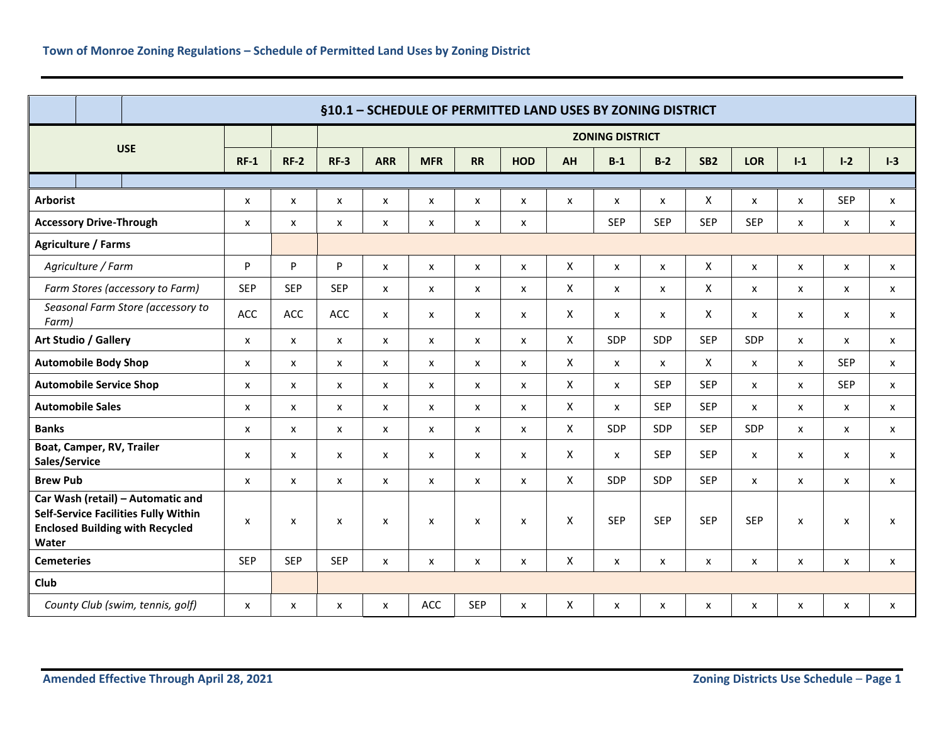|                                                                                                                                     |                                  |                                   | §10.1 - SCHEDULE OF PERMITTED LAND USES BY ZONING DISTRICT |                           |                           |                    |                           |                           |                           |                    |                           |                |                    |                           |                |              |              |
|-------------------------------------------------------------------------------------------------------------------------------------|----------------------------------|-----------------------------------|------------------------------------------------------------|---------------------------|---------------------------|--------------------|---------------------------|---------------------------|---------------------------|--------------------|---------------------------|----------------|--------------------|---------------------------|----------------|--------------|--------------|
|                                                                                                                                     |                                  |                                   |                                                            |                           |                           |                    |                           |                           |                           |                    | <b>ZONING DISTRICT</b>    |                |                    |                           |                |              |              |
|                                                                                                                                     |                                  | <b>USE</b>                        | $RF-1$                                                     | $RF-2$                    | $RF-3$                    | <b>ARR</b>         | <b>MFR</b>                | <b>RR</b>                 | <b>HOD</b>                | AH                 | $B-1$                     | $B-2$          | SB <sub>2</sub>    | <b>LOR</b>                | $I-1$          | $I - 2$      | $I-3$        |
|                                                                                                                                     |                                  |                                   |                                                            |                           |                           |                    |                           |                           |                           |                    |                           |                |                    |                           |                |              |              |
| <b>Arborist</b>                                                                                                                     |                                  |                                   | X                                                          | $\pmb{\times}$            | $\pmb{\chi}$              | X                  | X                         | X                         | X                         | X                  | x                         | $\pmb{\times}$ | X                  | X                         | X              | <b>SEP</b>   | x            |
| <b>Accessory Drive-Through</b>                                                                                                      |                                  |                                   | X                                                          | X                         | $\pmb{\chi}$              | X                  | X                         | X                         | X                         |                    | <b>SEP</b>                | <b>SEP</b>     | <b>SEP</b>         | <b>SEP</b>                | X              | X            | X            |
| Agriculture / Farms                                                                                                                 |                                  |                                   |                                                            |                           |                           |                    |                           |                           |                           |                    |                           |                |                    |                           |                |              |              |
| Agriculture / Farm                                                                                                                  |                                  | P                                 | P                                                          | P                         | $\pmb{\mathsf{x}}$        | $\pmb{\chi}$       | $\pmb{\mathsf{X}}$        | $\pmb{\chi}$              | X                         | $\pmb{\mathsf{X}}$ | $\pmb{\times}$            | X              | $\pmb{\times}$     | X                         | $\pmb{\times}$ | $\mathsf{x}$ |              |
| Farm Stores (accessory to Farm)                                                                                                     |                                  | <b>SEP</b>                        | <b>SEP</b>                                                 | <b>SEP</b>                | X                         | $\pmb{\mathsf{x}}$ | X                         | $\pmb{\times}$            | Χ                         | $\pmb{\times}$     | $\pmb{\times}$            | $\mathsf{x}$   | $\pmb{\times}$     | X                         | X              | X            |              |
| Farm)                                                                                                                               |                                  | Seasonal Farm Store (accessory to | ACC                                                        | ACC                       | ACC                       | x                  | X                         | X                         | $\pmb{\times}$            | X                  | X                         | X              | X                  | $\mathsf{x}$              | $\mathsf{x}$   | X            | x            |
| Art Studio / Gallery                                                                                                                |                                  |                                   | X                                                          | $\pmb{\mathsf{x}}$        | $\boldsymbol{\mathsf{x}}$ | X                  | X                         | X                         | $\boldsymbol{\mathsf{x}}$ | X                  | SDP                       | <b>SDP</b>     | <b>SEP</b>         | <b>SDP</b>                | X              | X            | X            |
| <b>Automobile Body Shop</b>                                                                                                         |                                  |                                   | X                                                          | X                         | $\boldsymbol{\mathsf{x}}$ | x                  | X                         | X                         | X                         | X                  | X                         | X              | X                  | $\boldsymbol{\mathsf{x}}$ | X              | <b>SEP</b>   | X            |
| <b>Automobile Service Shop</b>                                                                                                      |                                  |                                   | X                                                          | $\pmb{\times}$            | $\pmb{\chi}$              | x                  | X                         | X                         | $\pmb{\times}$            | X                  | $\pmb{\times}$            | <b>SEP</b>     | <b>SEP</b>         | $\mathsf{x}$              | X              | <b>SEP</b>   | x            |
| <b>Automobile Sales</b>                                                                                                             |                                  |                                   | X                                                          | X                         | $\boldsymbol{\mathsf{x}}$ | x                  | X                         | X                         | X                         | X                  | X                         | <b>SEP</b>     | <b>SEP</b>         | $\boldsymbol{\mathsf{x}}$ | $\mathsf{x}$   | X            | x            |
| <b>Banks</b>                                                                                                                        |                                  |                                   | X                                                          | X                         | $\boldsymbol{\mathsf{x}}$ | X                  | X                         | X                         | x                         | X                  | SDP                       | <b>SDP</b>     | <b>SEP</b>         | SDP                       | X              | X            | x            |
| Boat, Camper, RV, Trailer<br>Sales/Service                                                                                          |                                  |                                   | x                                                          | X                         | $\boldsymbol{\mathsf{x}}$ | x                  | X                         | x                         | $\boldsymbol{\mathsf{x}}$ | X                  | $\boldsymbol{\mathsf{x}}$ | <b>SEP</b>     | <b>SEP</b>         | $\mathsf{x}$              | $\mathsf{x}$   | x            | x            |
| <b>Brew Pub</b>                                                                                                                     |                                  |                                   | X                                                          | $\pmb{\mathsf{X}}$        | $\pmb{\mathsf{X}}$        | $\pmb{\mathsf{x}}$ | $\boldsymbol{\mathsf{x}}$ | $\mathsf{x}$              | $\pmb{\chi}$              | X                  | SDP                       | <b>SDP</b>     | <b>SEP</b>         | $\boldsymbol{\mathsf{x}}$ | X              | X            | $\mathsf{x}$ |
| Car Wash (retail) - Automatic and<br><b>Self-Service Facilities Fully Within</b><br><b>Enclosed Building with Recycled</b><br>Water |                                  | X                                 | X                                                          | $\boldsymbol{\mathsf{x}}$ | X                         | X                  | x                         | $\boldsymbol{\mathsf{x}}$ | X                         | <b>SEP</b>         | <b>SEP</b>                | <b>SEP</b>     | <b>SEP</b>         | X                         | x              | x            |              |
|                                                                                                                                     | <b>Cemeteries</b>                |                                   | <b>SEP</b>                                                 | <b>SEP</b>                | <b>SEP</b>                | X                  | X                         | x                         | $\boldsymbol{\mathsf{x}}$ | X                  | X                         | X              | $\pmb{\mathsf{X}}$ | X                         | X              | X            | $\mathsf{x}$ |
| Club                                                                                                                                |                                  |                                   |                                                            |                           |                           |                    |                           |                           |                           |                    |                           |                |                    |                           |                |              |              |
|                                                                                                                                     | County Club (swim, tennis, golf) |                                   | X                                                          | X                         | $\pmb{\chi}$              | X                  | ACC                       | <b>SEP</b>                | X                         | Χ                  | x                         | X              | x                  | X                         | x              | X            | x            |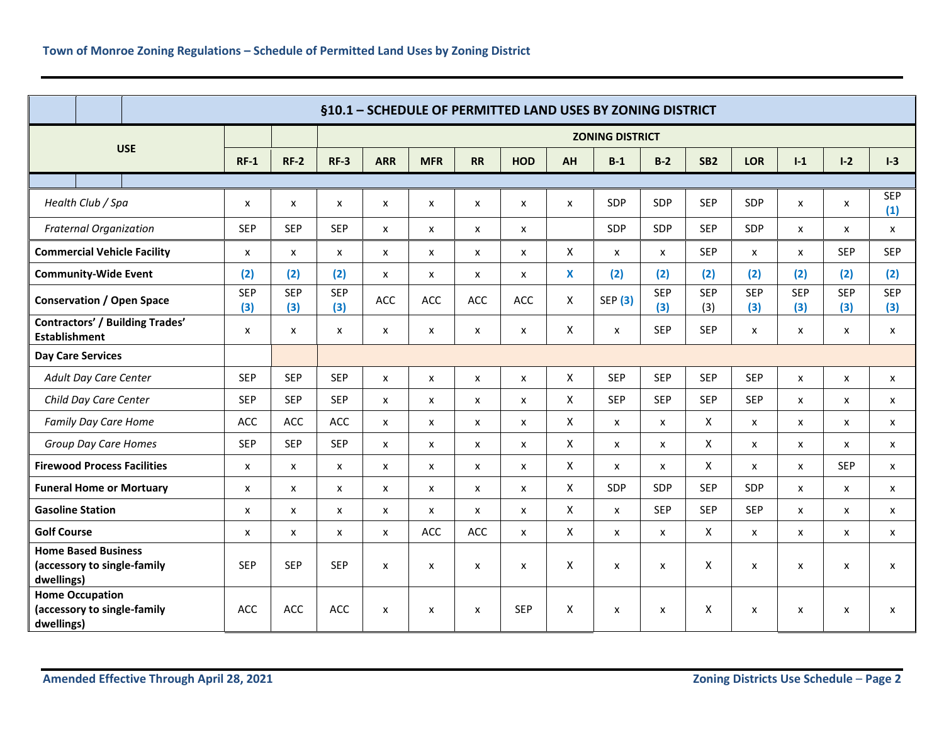|                                                                         |                               |                                    |                   | §10.1 - SCHEDULE OF PERMITTED LAND USES BY ZONING DISTRICT |                    |                    |            |                    |                |                    |                        |                    |                   |                   |                   |                   |                    |
|-------------------------------------------------------------------------|-------------------------------|------------------------------------|-------------------|------------------------------------------------------------|--------------------|--------------------|------------|--------------------|----------------|--------------------|------------------------|--------------------|-------------------|-------------------|-------------------|-------------------|--------------------|
|                                                                         |                               |                                    |                   |                                                            |                    |                    |            |                    |                |                    | <b>ZONING DISTRICT</b> |                    |                   |                   |                   |                   |                    |
|                                                                         |                               | <b>USE</b>                         | $RF-1$            | $RF-2$                                                     | $RF-3$             | <b>ARR</b>         | <b>MFR</b> | <b>RR</b>          | <b>HOD</b>     | AH                 | $B-1$                  | $B-2$              | SB <sub>2</sub>   | <b>LOR</b>        | $1-1$             | $I - 2$           | $I-3$              |
|                                                                         |                               |                                    |                   |                                                            |                    |                    |            |                    |                |                    |                        |                    |                   |                   |                   |                   |                    |
|                                                                         | Health Club / Spa             |                                    | x                 | X                                                          | X                  | X                  | x          | x                  | X              | X                  | SDP                    | SDP                | <b>SEP</b>        | SDP               | X                 | X                 | <b>SEP</b><br>(1)  |
|                                                                         | <b>Fraternal Organization</b> |                                    | <b>SEP</b>        | <b>SEP</b>                                                 | <b>SEP</b>         | $\pmb{\mathsf{X}}$ | X          | $\pmb{\mathsf{X}}$ | X              |                    | SDP                    | SDP                | <b>SEP</b>        | SDP               | $\mathsf{x}$      | $\mathsf{x}$      | $\pmb{\mathsf{X}}$ |
| <b>Commercial Vehicle Facility</b>                                      |                               |                                    | $\pmb{\times}$    | X                                                          | $\pmb{\times}$     | X                  | X          | x                  | X              | X                  | $\mathsf{x}$           | X                  | <b>SEP</b>        | $\mathsf{x}$      | $\mathsf{x}$      | <b>SEP</b>        | <b>SEP</b>         |
| <b>Community-Wide Event</b>                                             |                               |                                    | (2)               | (2)                                                        | (2)                | $\pmb{\mathsf{X}}$ | x          | x                  | X              | X                  | (2)                    | (2)                | (2)               | (2)               | (2)               | (2)               | (2)                |
| <b>Conservation / Open Space</b>                                        |                               |                                    | <b>SEP</b><br>(3) | <b>SEP</b><br>(3)                                          | <b>SEP</b><br>(3)  | ACC                | ACC        | ACC                | ACC            | X                  | <b>SEP (3)</b>         | <b>SEP</b><br>(3)  | <b>SEP</b><br>(3) | <b>SEP</b><br>(3) | <b>SEP</b><br>(3) | <b>SEP</b><br>(3) | <b>SEP</b><br>(3)  |
| <b>Contractors' / Building Trades'</b><br><b>Establishment</b>          |                               |                                    | $\pmb{\times}$    | X                                                          | X                  | $\pmb{\mathsf{X}}$ | x          | $\pmb{\mathsf{X}}$ | X              | X                  | $\mathsf{x}$           | <b>SEP</b>         | <b>SEP</b>        | X                 | $\mathsf{x}$      | X                 | $\pmb{\mathsf{X}}$ |
|                                                                         | <b>Day Care Services</b>      |                                    |                   |                                                            |                    |                    |            |                    |                |                    |                        |                    |                   |                   |                   |                   |                    |
|                                                                         | Adult Day Care Center         |                                    | <b>SEP</b>        | <b>SEP</b>                                                 | <b>SEP</b>         | $\pmb{\mathsf{X}}$ | x          | $\pmb{\mathsf{X}}$ | X              | X                  | <b>SEP</b>             | <b>SEP</b>         | <b>SEP</b>        | <b>SEP</b>        | X                 | X                 | $\mathsf{x}$       |
|                                                                         | Child Day Care Center         |                                    | <b>SEP</b>        | <b>SEP</b>                                                 | <b>SEP</b>         | X                  | X          | x                  | X              | X                  | <b>SEP</b>             | <b>SEP</b>         | <b>SEP</b>        | <b>SEP</b>        | X                 | X                 | X                  |
|                                                                         | Family Day Care Home          |                                    | ACC               | ACC                                                        | ACC                | $\pmb{\mathsf{X}}$ | X          | $\pmb{\mathsf{X}}$ | X              | X                  | $\mathsf{x}$           | X                  | X                 | $\mathsf{x}$      | $\mathsf{x}$      | $\mathsf{x}$      | $\pmb{\mathsf{X}}$ |
|                                                                         | Group Day Care Homes          |                                    | <b>SEP</b>        | <b>SEP</b>                                                 | <b>SEP</b>         | $\pmb{\mathsf{X}}$ | X          | x                  | x              | X                  | X                      | X                  | X                 | X                 | X                 | X                 | X                  |
|                                                                         |                               | <b>Firewood Process Facilities</b> | $\pmb{\times}$    | $\pmb{\times}$                                             | X                  | $\pmb{\mathsf{X}}$ | X          | $\pmb{\mathsf{X}}$ | X              | X                  | $\mathsf{x}$           | X                  | X                 | X                 | $\mathsf{x}$      | <b>SEP</b>        | $\pmb{\mathsf{X}}$ |
|                                                                         |                               | <b>Funeral Home or Mortuary</b>    | $\pmb{\times}$    | $\pmb{\mathsf{x}}$                                         | X                  | $\pmb{\mathsf{X}}$ | x          | $\pmb{\mathsf{X}}$ | X              | X                  | SDP                    | SDP                | <b>SEP</b>        | SDP               | X                 | X                 | $\pmb{\mathsf{X}}$ |
|                                                                         | <b>Gasoline Station</b>       |                                    | X                 | X                                                          | X                  | X                  | x          | X                  | X              | X                  | $\mathsf{x}$           | <b>SEP</b>         | <b>SEP</b>        | <b>SEP</b>        | $\mathsf{x}$      | X                 | X                  |
| <b>Golf Course</b>                                                      |                               | x                                  | $\pmb{\times}$    | $\pmb{\mathsf{x}}$                                         | $\pmb{\mathsf{X}}$ | ACC                | ACC        | $\pmb{\mathsf{x}}$ | $\pmb{\times}$ | $\pmb{\mathsf{x}}$ | X                      | $\pmb{\mathsf{X}}$ | $\mathsf{x}$      | X                 | X                 | $\mathsf{x}$      |                    |
| <b>Home Based Business</b><br>(accessory to single-family<br>dwellings) |                               | <b>SEP</b>                         | <b>SEP</b>        | <b>SEP</b>                                                 | X                  | x                  | x          | X                  | X              | X                  | x                      | X                  | x                 | X                 | x                 | X                 |                    |
| <b>Home Occupation</b><br>(accessory to single-family<br>dwellings)     |                               | <b>ACC</b>                         | ACC               | ACC                                                        | X                  | x                  | X          | <b>SEP</b>         | X              | X                  | X                      | X                  | x                 | X                 | X                 | X                 |                    |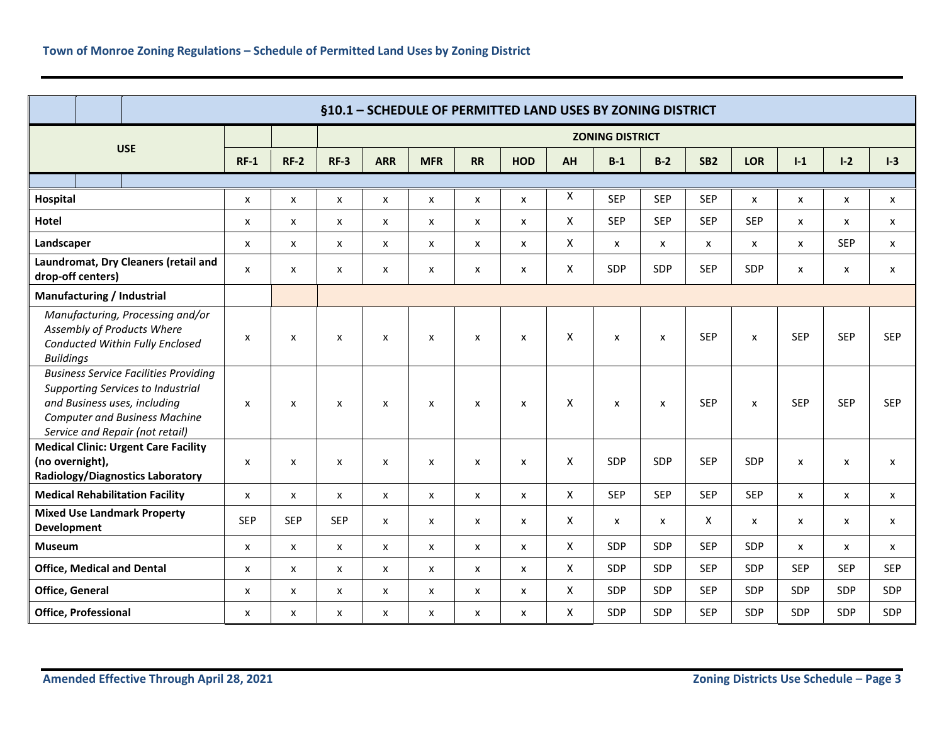|                                                                                                                       |  |                                                                                                                                                                                              |                |                           |                    |                           |                           |                           |                           |                           | §10.1 - SCHEDULE OF PERMITTED LAND USES BY ZONING DISTRICT |                           |                 |              |              |            |            |
|-----------------------------------------------------------------------------------------------------------------------|--|----------------------------------------------------------------------------------------------------------------------------------------------------------------------------------------------|----------------|---------------------------|--------------------|---------------------------|---------------------------|---------------------------|---------------------------|---------------------------|------------------------------------------------------------|---------------------------|-----------------|--------------|--------------|------------|------------|
|                                                                                                                       |  |                                                                                                                                                                                              |                |                           |                    |                           |                           |                           |                           |                           | <b>ZONING DISTRICT</b>                                     |                           |                 |              |              |            |            |
|                                                                                                                       |  | <b>USE</b>                                                                                                                                                                                   | $RF-1$         | $RF-2$                    | $RF-3$             | <b>ARR</b>                | <b>MFR</b>                | <b>RR</b>                 | <b>HOD</b>                | AH                        | $B-1$                                                      | $B-2$                     | SB <sub>2</sub> | <b>LOR</b>   | $I-1$        | $I-2$      | $1-3$      |
|                                                                                                                       |  |                                                                                                                                                                                              |                |                           |                    |                           |                           |                           |                           |                           |                                                            |                           |                 |              |              |            |            |
| Hospital                                                                                                              |  |                                                                                                                                                                                              | $\pmb{\times}$ | x                         | $\pmb{\mathsf{X}}$ | $\pmb{\mathsf{x}}$        | $\pmb{\times}$            | $\pmb{\mathsf{X}}$        | $\pmb{\chi}$              | Χ                         | <b>SEP</b>                                                 | <b>SEP</b>                | <b>SEP</b>      | $\pmb{\chi}$ | X            | X          | X          |
| Hotel                                                                                                                 |  | X                                                                                                                                                                                            | x              | X                         | X                  | $\boldsymbol{\mathsf{x}}$ | x                         | $\boldsymbol{\mathsf{x}}$ | X                         | <b>SEP</b>                | <b>SEP</b>                                                 | <b>SEP</b>                | <b>SEP</b>      | X            | x            | x          |            |
| Landscaper                                                                                                            |  | X                                                                                                                                                                                            | X              | X                         | x                  | $\boldsymbol{\mathsf{x}}$ | x                         | $\boldsymbol{\mathsf{x}}$ | X                         | $\boldsymbol{\mathsf{x}}$ | $\boldsymbol{\mathsf{x}}$                                  | $\mathsf{x}$              | $\mathsf{x}$    | X            | <b>SEP</b>   | X          |            |
| Laundromat, Dry Cleaners (retail and<br>drop-off centers)                                                             |  | X                                                                                                                                                                                            | x              | X                         | X                  | $\boldsymbol{\mathsf{x}}$ | x                         | $\boldsymbol{\mathsf{x}}$ | X                         | SDP                       | SDP                                                        | <b>SEP</b>                | SDP             | X            | X            | X          |            |
| Manufacturing / Industrial                                                                                            |  |                                                                                                                                                                                              |                |                           |                    |                           |                           |                           |                           |                           |                                                            |                           |                 |              |              |            |            |
| Manufacturing, Processing and/or<br>Assembly of Products Where<br>Conducted Within Fully Enclosed<br><b>Buildings</b> |  | X                                                                                                                                                                                            | X              | $\boldsymbol{\mathsf{x}}$ | X                  | $\boldsymbol{\mathsf{x}}$ | X                         | $\boldsymbol{\mathsf{x}}$ | X                         | $\boldsymbol{\mathsf{x}}$ | $\boldsymbol{\mathsf{x}}$                                  | <b>SEP</b>                | $\mathsf{x}$    | <b>SEP</b>   | <b>SEP</b>   | <b>SEP</b> |            |
|                                                                                                                       |  | <b>Business Service Facilities Providing</b><br>Supporting Services to Industrial<br>and Business uses, including<br><b>Computer and Business Machine</b><br>Service and Repair (not retail) | X              | x                         | X                  | X                         | $\boldsymbol{\mathsf{x}}$ | X                         | $\boldsymbol{\mathsf{x}}$ | X                         | X                                                          | $\boldsymbol{\mathsf{x}}$ | <b>SEP</b>      | $\mathsf{x}$ | <b>SEP</b>   | <b>SEP</b> | <b>SEP</b> |
| (no overnight),                                                                                                       |  | <b>Medical Clinic: Urgent Care Facility</b><br><b>Radiology/Diagnostics Laboratory</b>                                                                                                       | X              | x                         | X                  | X                         | X                         | X                         | X                         | X                         | SDP                                                        | SDP                       | <b>SEP</b>      | SDP          | X            | x          | x          |
|                                                                                                                       |  | <b>Medical Rehabilitation Facility</b>                                                                                                                                                       | X              | x                         | X                  | x                         | $\boldsymbol{\mathsf{x}}$ | x                         | $\boldsymbol{\mathsf{x}}$ | X                         | <b>SEP</b>                                                 | <b>SEP</b>                | <b>SEP</b>      | <b>SEP</b>   | X            | X          | x          |
| <b>Mixed Use Landmark Property</b><br>Development                                                                     |  | <b>SEP</b>                                                                                                                                                                                   | <b>SEP</b>     | <b>SEP</b>                | X                  | $\pmb{\chi}$              | x                         | $\boldsymbol{\mathsf{x}}$ | X                         | X                         | X                                                          | X                         | $\mathsf{x}$    | X            | X            | X          |            |
| <b>Museum</b>                                                                                                         |  | $\mathsf{x}$                                                                                                                                                                                 | X              | $\mathsf{x}$              | $\mathsf{x}$       | $\boldsymbol{\mathsf{x}}$ | $\mathsf{x}$              | $\mathsf{x}$              | X                         | <b>SDP</b>                | <b>SDP</b>                                                 | <b>SEP</b>                | <b>SDP</b>      | x            | $\mathsf{x}$ | X          |            |
| <b>Office, Medical and Dental</b>                                                                                     |  | $\pmb{\times}$                                                                                                                                                                               | X              | $\pmb{\mathsf{X}}$        | X                  | $\pmb{\chi}$              | X                         | $\pmb{\times}$            | $\mathsf{x}$              | SDP                       | SDP                                                        | <b>SEP</b>                | SDP             | <b>SEP</b>   | <b>SEP</b>   | <b>SEP</b> |            |
| <b>Office, General</b>                                                                                                |  | X                                                                                                                                                                                            | x              | X                         | X                  | $\boldsymbol{\mathsf{x}}$ | x                         | $\boldsymbol{\mathsf{x}}$ | X                         | SDP                       | SDP                                                        | <b>SEP</b>                | SDP             | SDP          | <b>SDP</b>   | SDP        |            |
| <b>Office, Professional</b>                                                                                           |  | X                                                                                                                                                                                            | X              | X                         | x                  | $\boldsymbol{\mathsf{x}}$ | x                         | $\boldsymbol{\mathsf{x}}$ | X                         | SDP                       | SDP                                                        | <b>SEP</b>                | SDP             | SDP          | SDP          | SDP        |            |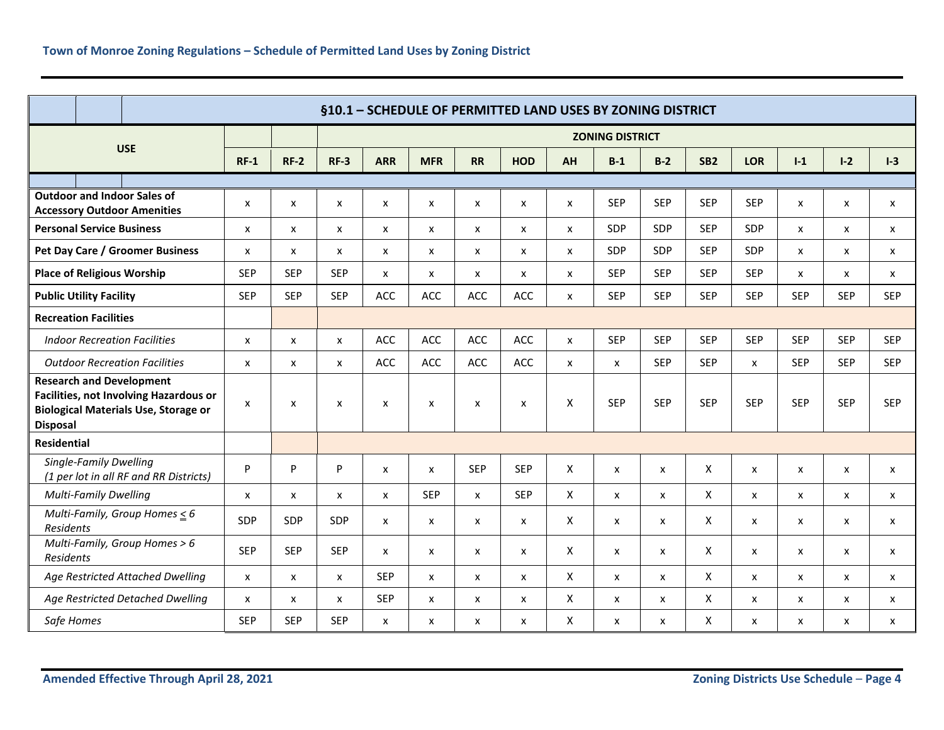|                                                                                                                                             | §10.1 - SCHEDULE OF PERMITTED LAND USES BY ZONING DISTRICT |            |                    |            |              |              |                           |                           |                           |                           |                 |                           |            |              |              |
|---------------------------------------------------------------------------------------------------------------------------------------------|------------------------------------------------------------|------------|--------------------|------------|--------------|--------------|---------------------------|---------------------------|---------------------------|---------------------------|-----------------|---------------------------|------------|--------------|--------------|
|                                                                                                                                             |                                                            |            |                    |            |              |              |                           |                           | <b>ZONING DISTRICT</b>    |                           |                 |                           |            |              |              |
| <b>USE</b>                                                                                                                                  | $RF-1$                                                     | $RF-2$     | $RF-3$             | <b>ARR</b> | <b>MFR</b>   | <b>RR</b>    | <b>HOD</b>                | <b>AH</b>                 | $B-1$                     | $B-2$                     | SB <sub>2</sub> | <b>LOR</b>                | $1-1$      | $I - 2$      | $1-3$        |
|                                                                                                                                             |                                                            |            |                    |            |              |              |                           |                           |                           |                           |                 |                           |            |              |              |
| <b>Outdoor and Indoor Sales of</b><br><b>Accessory Outdoor Amenities</b>                                                                    | $\boldsymbol{\mathsf{x}}$                                  | X          | X                  | x          | x            | x            | X                         | X                         | <b>SEP</b>                | <b>SEP</b>                | <b>SEP</b>      | <b>SEP</b>                | X          | x            | x            |
| <b>Personal Service Business</b>                                                                                                            | $\boldsymbol{\mathsf{x}}$                                  | X          | $\mathsf{x}$       | X          | X            | X            | $\boldsymbol{\mathsf{x}}$ | $\mathsf{x}$              | SDP                       | <b>SDP</b>                | <b>SEP</b>      | <b>SDP</b>                | x          | X            | X            |
| Pet Day Care / Groomer Business                                                                                                             | $\boldsymbol{\mathsf{x}}$                                  | X          | X                  | X          | x            | X            | X                         | $\mathsf{x}$              | <b>SDP</b>                | <b>SDP</b>                | <b>SEP</b>      | <b>SDP</b>                | X          | X            | $\mathsf{x}$ |
| <b>Place of Religious Worship</b>                                                                                                           | <b>SEP</b>                                                 | <b>SEP</b> | <b>SEP</b>         | x          | x            | X            | X                         | $\boldsymbol{\mathsf{x}}$ | <b>SEP</b>                | <b>SEP</b>                | <b>SEP</b>      | <b>SEP</b>                | X          | $\mathsf{x}$ | x            |
| <b>Public Utility Facility</b>                                                                                                              | <b>SEP</b>                                                 | <b>SEP</b> | <b>SEP</b>         | <b>ACC</b> | ACC          | ACC          | ACC                       | X                         | <b>SEP</b>                | <b>SEP</b>                | <b>SEP</b>      | <b>SEP</b>                | <b>SEP</b> | <b>SEP</b>   | <b>SEP</b>   |
| <b>Recreation Facilities</b>                                                                                                                |                                                            |            |                    |            |              |              |                           |                           |                           |                           |                 |                           |            |              |              |
| <b>Indoor Recreation Facilities</b>                                                                                                         | $\pmb{\chi}$                                               | x          | $\pmb{\times}$     | ACC        | ACC          | ACC          | ACC                       | $\mathsf{x}$              | <b>SEP</b>                | <b>SEP</b>                | <b>SEP</b>      | <b>SEP</b>                | <b>SEP</b> | <b>SEP</b>   | <b>SEP</b>   |
| <b>Outdoor Recreation Facilities</b>                                                                                                        | $\boldsymbol{\mathsf{x}}$                                  | X          | $\pmb{\mathsf{X}}$ | ACC        | <b>ACC</b>   | ACC          | ACC                       | $\boldsymbol{\mathsf{x}}$ | X                         | <b>SEP</b>                | <b>SEP</b>      | $\mathsf{x}$              | <b>SEP</b> | <b>SEP</b>   | <b>SEP</b>   |
| <b>Research and Development</b><br>Facilities, not Involving Hazardous or<br><b>Biological Materials Use, Storage or</b><br><b>Disposal</b> | $\boldsymbol{\mathsf{x}}$                                  | X          | $\pmb{\times}$     | X          | x            | X            | $\boldsymbol{\mathsf{x}}$ | X                         | <b>SEP</b>                | <b>SEP</b>                | <b>SEP</b>      | <b>SEP</b>                | <b>SEP</b> | <b>SEP</b>   | <b>SEP</b>   |
| <b>Residential</b>                                                                                                                          |                                                            |            |                    |            |              |              |                           |                           |                           |                           |                 |                           |            |              |              |
| Single-Family Dwelling<br>(1 per lot in all RF and RR Districts)                                                                            | P                                                          | P          | P                  | X          | x            | <b>SEP</b>   | <b>SEP</b>                | X                         | $\boldsymbol{\mathsf{x}}$ | X                         | X               | $\boldsymbol{\mathsf{x}}$ | X          | X            | X            |
| <b>Multi-Family Dwelling</b>                                                                                                                | $\boldsymbol{\mathsf{x}}$                                  | X          | $\pmb{\times}$     | x          | <b>SEP</b>   | X            | <b>SEP</b>                | X                         | X                         | X                         | X               | $\pmb{\times}$            | X          | X            | X            |
| Multi-Family, Group Homes $\leq 6$<br><b>Residents</b>                                                                                      | <b>SDP</b>                                                 | SDP        | SDP                | X          | X            | $\mathsf{x}$ | $\mathsf{x}$              | X                         | X                         | $\boldsymbol{\mathsf{x}}$ | X               | $\mathsf{x}$              | X          | $\mathsf{x}$ | $\mathsf{x}$ |
| Multi-Family, Group Homes > 6<br>Residents                                                                                                  | <b>SEP</b>                                                 | <b>SEP</b> | <b>SEP</b>         | x          | x            | X            | X                         | X                         | X                         | X                         | X               | X                         | x          | x            | x            |
| Age Restricted Attached Dwelling                                                                                                            | $\boldsymbol{\mathsf{x}}$                                  | X          | $\mathsf{x}$       | <b>SEP</b> | $\mathsf{x}$ | X            | $\boldsymbol{\mathsf{x}}$ | X                         | X                         | $\mathsf{x}$              | X               | $\mathsf{x}$              | X          | X            | X            |
| Age Restricted Detached Dwelling                                                                                                            | $\boldsymbol{\mathsf{x}}$                                  | x          | $\mathsf{x}$       | <b>SEP</b> | x            | $\mathsf{x}$ | X                         | X                         | X                         | x                         | X               | $\boldsymbol{\mathsf{x}}$ | x          | x            | x            |
| Safe Homes                                                                                                                                  | <b>SEP</b>                                                 | <b>SEP</b> | <b>SEP</b>         | X          | x            | X            | $\boldsymbol{\mathsf{x}}$ | X                         | x                         | X                         | X               | $\boldsymbol{\mathsf{x}}$ | x          | x            | x            |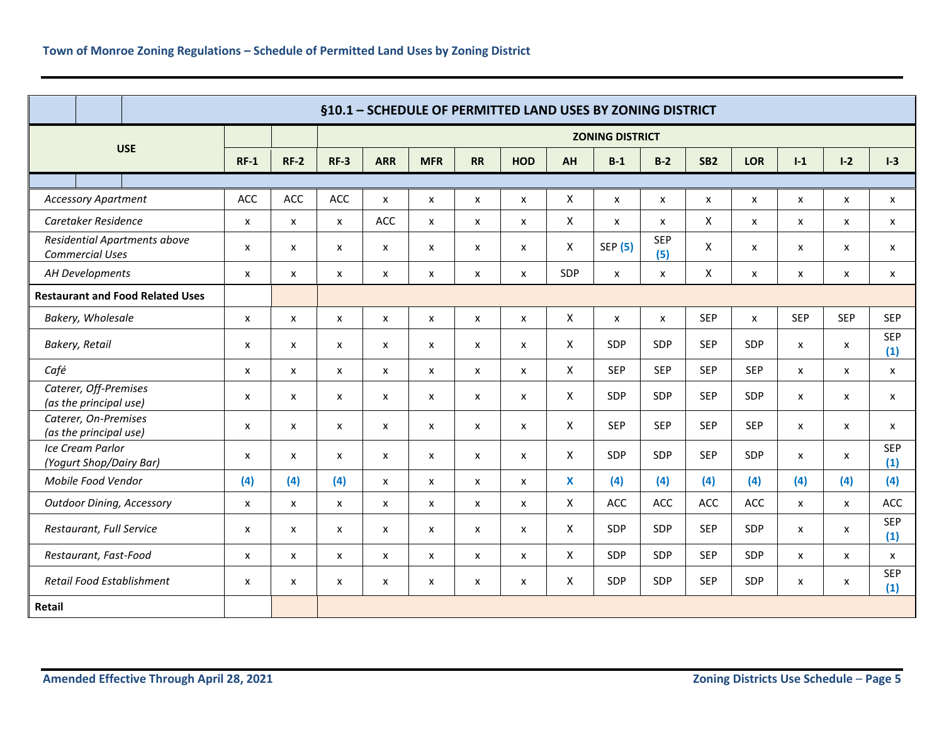|                                                                                                                                                                                                                                                                                                                                                                                                                                                                                                                                               |                | §10.1 - SCHEDULE OF PERMITTED LAND USES BY ZONING DISTRICT |                    |                |                    |                |                           |                           |              |                           |                   |                    |                           |              |              |                           |
|-----------------------------------------------------------------------------------------------------------------------------------------------------------------------------------------------------------------------------------------------------------------------------------------------------------------------------------------------------------------------------------------------------------------------------------------------------------------------------------------------------------------------------------------------|----------------|------------------------------------------------------------|--------------------|----------------|--------------------|----------------|---------------------------|---------------------------|--------------|---------------------------|-------------------|--------------------|---------------------------|--------------|--------------|---------------------------|
|                                                                                                                                                                                                                                                                                                                                                                                                                                                                                                                                               |                |                                                            |                    |                |                    |                |                           |                           |              | <b>ZONING DISTRICT</b>    |                   |                    |                           |              |              |                           |
|                                                                                                                                                                                                                                                                                                                                                                                                                                                                                                                                               |                | $RF-1$                                                     | $RF-2$             | $RF-3$         | <b>ARR</b>         | <b>MFR</b>     | <b>RR</b>                 | <b>HOD</b>                | AH           | $B-1$                     | $B-2$             | SB <sub>2</sub>    | <b>LOR</b>                | $1-1$        | $I-2$        | $I-3$                     |
|                                                                                                                                                                                                                                                                                                                                                                                                                                                                                                                                               |                |                                                            |                    |                |                    |                |                           |                           |              |                           |                   |                    |                           |              |              |                           |
|                                                                                                                                                                                                                                                                                                                                                                                                                                                                                                                                               |                | ACC                                                        | ACC                | ACC            | $\pmb{\times}$     | X              | X                         | x                         | X            | X                         | X                 | $\pmb{\mathsf{x}}$ | $\pmb{\times}$            | X            | X            | $\boldsymbol{\mathsf{x}}$ |
|                                                                                                                                                                                                                                                                                                                                                                                                                                                                                                                                               |                | $\pmb{\times}$                                             | $\pmb{\mathsf{X}}$ | X              | ACC                | X              | x                         | X                         | X            | X                         | X                 | X                  | X                         | X            | x            | X                         |
|                                                                                                                                                                                                                                                                                                                                                                                                                                                                                                                                               |                | $\boldsymbol{\mathsf{x}}$                                  | X                  | x              | x                  | X              | x                         | x                         | X            | <b>SEP</b> (5)            | <b>SEP</b><br>(5) | X                  | $\boldsymbol{\mathsf{x}}$ | X            | X            | $\boldsymbol{\mathsf{x}}$ |
|                                                                                                                                                                                                                                                                                                                                                                                                                                                                                                                                               | X              | $\mathsf{x}$                                               | X                  | X              | X                  | x              | $\mathsf{x}$              | SDP                       | X            | $\boldsymbol{\mathsf{x}}$ | X                 | $\mathsf{x}$       | X                         | x            | x            |                           |
|                                                                                                                                                                                                                                                                                                                                                                                                                                                                                                                                               |                |                                                            |                    |                |                    |                |                           |                           |              |                           |                   |                    |                           |              |              |                           |
|                                                                                                                                                                                                                                                                                                                                                                                                                                                                                                                                               | $\pmb{\times}$ | $\pmb{\times}$                                             | X                  | X              | x                  | x              | $\boldsymbol{\mathsf{x}}$ | X                         | X            | $\boldsymbol{\mathsf{x}}$ | <b>SEP</b>        | $\mathsf{x}$       | <b>SEP</b>                | <b>SEP</b>   | <b>SEP</b>   |                           |
| <b>USE</b><br><b>Accessory Apartment</b><br>Caretaker Residence<br>Residential Apartments above<br><b>Commercial Uses</b><br>AH Developments<br><b>Restaurant and Food Related Uses</b><br>Bakery, Wholesale<br>Bakery, Retail<br>Café<br>Caterer, Off-Premises<br>(as the principal use)<br>Caterer, On-Premises<br>(as the principal use)<br>Ice Cream Parlor<br>(Yogurt Shop/Dairy Bar)<br>Mobile Food Vendor<br><b>Outdoor Dining, Accessory</b><br>Restaurant, Full Service<br>Restaurant, Fast-Food<br><b>Retail Food Establishment</b> |                | X                                                          | x                  | X              | x                  | X              | x                         | $\mathsf{x}$              | X            | <b>SDP</b>                | <b>SDP</b>        | <b>SEP</b>         | <b>SDP</b>                | $\mathsf{x}$ | x            | <b>SEP</b><br>(1)         |
|                                                                                                                                                                                                                                                                                                                                                                                                                                                                                                                                               |                | X                                                          | x                  | X              | x                  | X              | x                         | $\mathsf{x}$              | X            | <b>SEP</b>                | <b>SEP</b>        | <b>SEP</b>         | <b>SEP</b>                | $\mathsf{x}$ | X            | $\mathsf{x}$              |
|                                                                                                                                                                                                                                                                                                                                                                                                                                                                                                                                               |                | X                                                          | X                  | X              | X                  | X              | x                         | $\mathsf{x}$              | X            | SDP                       | SDP               | <b>SEP</b>         | <b>SDP</b>                | $\mathsf{x}$ | X            | x                         |
|                                                                                                                                                                                                                                                                                                                                                                                                                                                                                                                                               |                | X                                                          | X                  | X              | X                  | X              | x                         | x                         | X            | <b>SEP</b>                | <b>SEP</b>        | <b>SEP</b>         | <b>SEP</b>                | $\mathsf{x}$ | X            | $\mathsf{x}$              |
|                                                                                                                                                                                                                                                                                                                                                                                                                                                                                                                                               |                | $\boldsymbol{\mathsf{x}}$                                  | $\mathsf{x}$       | X              | $\mathsf{x}$       | X              | $\mathsf{x}$              | $\boldsymbol{\mathsf{x}}$ | X            | <b>SDP</b>                | <b>SDP</b>        | <b>SEP</b>         | <b>SDP</b>                | X            | X            | <b>SEP</b><br>(1)         |
|                                                                                                                                                                                                                                                                                                                                                                                                                                                                                                                                               |                | (4)                                                        | (4)                | (4)            | x                  | X              | x                         | X                         | $\mathbf{x}$ | (4)                       | (4)               | (4)                | (4)                       | (4)          | (4)          | (4)                       |
|                                                                                                                                                                                                                                                                                                                                                                                                                                                                                                                                               |                | X                                                          | x                  | X              | x                  | X              | $\mathsf{x}$              | X                         | X            | <b>ACC</b>                | <b>ACC</b>        | <b>ACC</b>         | <b>ACC</b>                | X            | $\mathsf{x}$ | <b>ACC</b>                |
|                                                                                                                                                                                                                                                                                                                                                                                                                                                                                                                                               |                | $\boldsymbol{\mathsf{x}}$                                  | x                  | x              | $\mathsf{x}$       | X              | $\mathsf{x}$              | $\mathsf{x}$              | X            | SDP                       | SDP               | <b>SEP</b>         | <b>SDP</b>                | X            | x            | <b>SEP</b><br>(1)         |
|                                                                                                                                                                                                                                                                                                                                                                                                                                                                                                                                               |                | $\pmb{\times}$                                             | $\pmb{\times}$     | X              | X                  | x              | $\pmb{\mathsf{X}}$        | X                         | $\mathsf{x}$ | SDP                       | SDP               | <b>SEP</b>         | <b>SDP</b>                | $\mathsf{x}$ | X            | X                         |
|                                                                                                                                                                                                                                                                                                                                                                                                                                                                                                                                               |                | X                                                          | $\pmb{\mathsf{X}}$ | $\pmb{\times}$ | $\pmb{\mathsf{x}}$ | $\pmb{\times}$ | X                         | X                         | X            | SDP                       | SDP               | <b>SEP</b>         | SDP                       | $\mathsf{x}$ | X            | <b>SEP</b><br>(1)         |
| Retail                                                                                                                                                                                                                                                                                                                                                                                                                                                                                                                                        |                |                                                            |                    |                |                    |                |                           |                           |              |                           |                   |                    |                           |              |              |                           |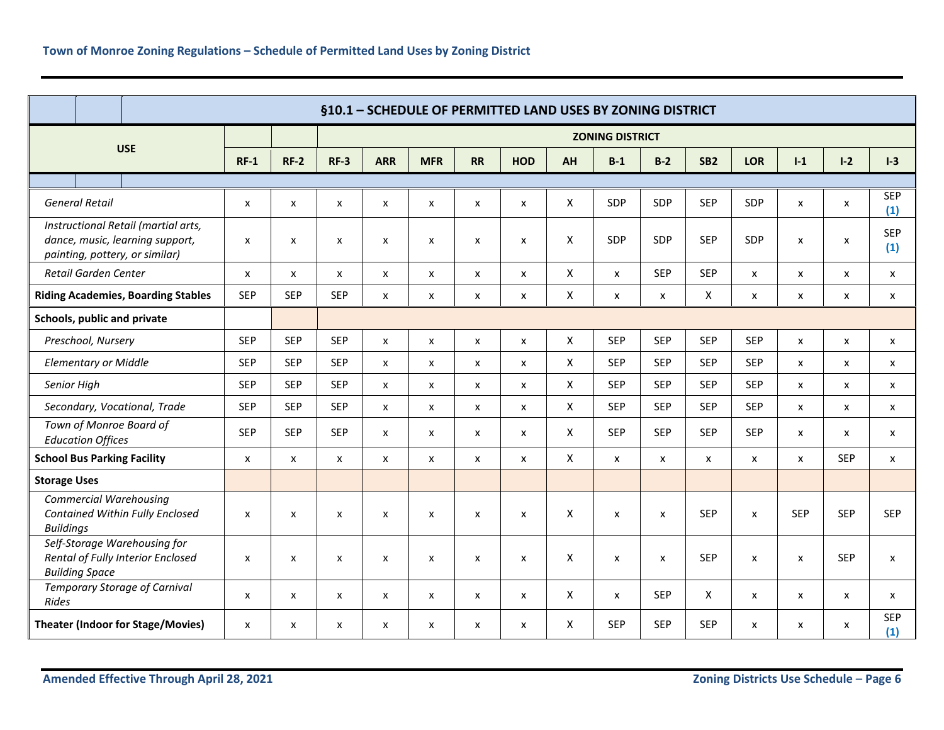|                                                                                                          |                                          |                           | §10.1 - SCHEDULE OF PERMITTED LAND USES BY ZONING DISTRICT |                |                    |                    |                    |                           |              |                           |                |                 |                           |            |            |                   |
|----------------------------------------------------------------------------------------------------------|------------------------------------------|---------------------------|------------------------------------------------------------|----------------|--------------------|--------------------|--------------------|---------------------------|--------------|---------------------------|----------------|-----------------|---------------------------|------------|------------|-------------------|
|                                                                                                          |                                          |                           |                                                            |                |                    |                    |                    |                           |              | <b>ZONING DISTRICT</b>    |                |                 |                           |            |            |                   |
|                                                                                                          | <b>USE</b>                               | $RF-1$                    | $RF-2$                                                     | $RF-3$         | <b>ARR</b>         | <b>MFR</b>         | <b>RR</b>          | <b>HOD</b>                | AH           | $B-1$                     | $B-2$          | SB <sub>2</sub> | <b>LOR</b>                | $I-1$      | $I - 2$    | $1-3$             |
|                                                                                                          |                                          |                           |                                                            |                |                    |                    |                    |                           |              |                           |                |                 |                           |            |            |                   |
| <b>General Retail</b>                                                                                    |                                          | $\boldsymbol{\mathsf{x}}$ | X                                                          | X              | x                  | x                  | X                  | $\boldsymbol{\mathsf{x}}$ | X            | SDP                       | SDP            | <b>SEP</b>      | <b>SDP</b>                | X          | X          | <b>SEP</b><br>(1) |
| Instructional Retail (martial arts,<br>dance, music, learning support,<br>painting, pottery, or similar) |                                          | $\boldsymbol{\mathsf{x}}$ | X                                                          | $\pmb{\chi}$   | X                  | X                  | x                  | X                         | X            | SDP                       | SDP            | <b>SEP</b>      | <b>SDP</b>                | X          | X          | <b>SEP</b><br>(1) |
| Retail Garden Center                                                                                     |                                          | $\pmb{\times}$            | X                                                          | $\pmb{\chi}$   | $\pmb{\mathsf{x}}$ | $\pmb{\mathsf{X}}$ | $\pmb{\mathsf{x}}$ | $\pmb{\times}$            | X            | $\pmb{\times}$            | <b>SEP</b>     | <b>SEP</b>      | $\boldsymbol{\mathsf{x}}$ | X          | X          | $\mathsf{x}$      |
| <b>Riding Academies, Boarding Stables</b>                                                                |                                          | <b>SEP</b>                | <b>SEP</b>                                                 | <b>SEP</b>     | $\pmb{\times}$     | $\pmb{\times}$     | $\pmb{\mathsf{x}}$ | $\pmb{\times}$            | X            | X                         | $\pmb{\times}$ | X               | $\pmb{\times}$            | X          | X          | X                 |
| Schools, public and private                                                                              |                                          |                           |                                                            |                |                    |                    |                    |                           |              |                           |                |                 |                           |            |            |                   |
| Preschool, Nursery                                                                                       |                                          | <b>SEP</b>                | <b>SEP</b>                                                 | <b>SEP</b>     | X                  | X                  | X                  | $\pmb{\mathsf{X}}$        | $\mathsf{x}$ | <b>SEP</b>                | <b>SEP</b>     | <b>SEP</b>      | <b>SEP</b>                | X          | X          | X                 |
| <b>Elementary or Middle</b>                                                                              |                                          | <b>SEP</b>                | <b>SEP</b>                                                 | <b>SEP</b>     | x                  | X                  | X                  | X                         | X            | <b>SEP</b>                | <b>SEP</b>     | <b>SEP</b>      | <b>SEP</b>                | X          | x          | x                 |
| Senior High                                                                                              |                                          | <b>SEP</b>                | <b>SEP</b>                                                 | <b>SEP</b>     | x                  | x                  | X                  | $\mathsf{x}$              | X            | <b>SEP</b>                | <b>SEP</b>     | <b>SEP</b>      | <b>SEP</b>                | X          | X          | x                 |
| Secondary, Vocational, Trade                                                                             |                                          | <b>SEP</b>                | <b>SEP</b>                                                 | <b>SEP</b>     | x                  | x                  | X                  | $\boldsymbol{\mathsf{x}}$ | X            | <b>SEP</b>                | <b>SEP</b>     | <b>SEP</b>      | <b>SEP</b>                | X          | x          | x                 |
| Town of Monroe Board of<br><b>Education Offices</b>                                                      |                                          | <b>SEP</b>                | <b>SEP</b>                                                 | <b>SEP</b>     | X                  | $\mathsf{x}$       | $\mathsf{x}$       | $\mathsf{x}$              | X            | <b>SEP</b>                | <b>SEP</b>     | <b>SEP</b>      | <b>SEP</b>                | X          | X          | $\mathsf{x}$      |
| <b>School Bus Parking Facility</b>                                                                       |                                          | $\pmb{\chi}$              | X                                                          | $\pmb{\times}$ | x                  | x                  | X                  | X                         | X            | $\pmb{\mathsf{x}}$        | $\pmb{\times}$ | X               | $\pmb{\chi}$              | X          | <b>SEP</b> | X                 |
| <b>Storage Uses</b>                                                                                      |                                          |                           |                                                            |                |                    |                    |                    |                           |              |                           |                |                 |                           |            |            |                   |
| <b>Commercial Warehousing</b><br>Contained Within Fully Enclosed<br><b>Buildings</b>                     |                                          | $\boldsymbol{\mathsf{x}}$ | X                                                          | X              | X                  | x                  | X                  | $\boldsymbol{\mathsf{x}}$ | X            | $\boldsymbol{\mathsf{x}}$ | X              | <b>SEP</b>      | $\boldsymbol{\mathsf{x}}$ | <b>SEP</b> | <b>SEP</b> | <b>SEP</b>        |
| Self-Storage Warehousing for<br>Rental of Fully Interior Enclosed<br><b>Building Space</b>               |                                          | X                         | $\pmb{\times}$                                             | $\pmb{\chi}$   | X                  | X                  | X                  | X                         | X            | X                         | $\pmb{\times}$ | <b>SEP</b>      | $\pmb{\times}$            | X          | <b>SEP</b> | X                 |
| Temporary Storage of Carnival<br>Rides                                                                   |                                          | $\boldsymbol{\mathsf{x}}$ | X                                                          | X              | x                  | x                  | X                  | $\boldsymbol{\mathsf{x}}$ | X            | X                         | <b>SEP</b>     | X               | $\boldsymbol{\mathsf{x}}$ | X          | X          | X                 |
|                                                                                                          | <b>Theater (Indoor for Stage/Movies)</b> | $\boldsymbol{\mathsf{x}}$ | x                                                          | x              | x                  | x                  | x                  | X                         | X            | <b>SEP</b>                | <b>SEP</b>     | <b>SEP</b>      | x                         | x          | x          | <b>SEP</b><br>(1) |